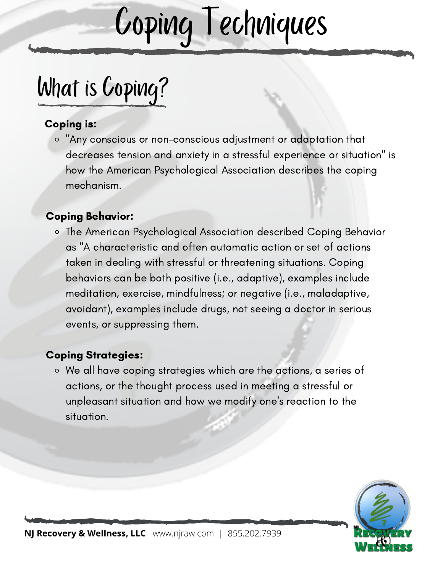# Coping Techniques

## What is Coping?

#### Coping is:

"Any conscious or non-conscious adjustment or adaptation that decreases tension and anxiety in a stressful experience or situation" is how the American Psychological Association describes the coping mechanism.

#### Coping Behavior:

The American Psychological Association described Coping Behavior as "A characteristic and often automatic action or set of actions taken in dealing with stressful or threatening situations. Coping behaviors can be both positive (i.e., adaptive), examples include meditation, exercise, mindfulness; or negative (i.e., maladaptive, avoidant), examples include drugs, not seeing a doctor in serious events, or suppressing them.

#### Coping Strategies:

We all have coping strategies which are the actions, a series of actions, or the thought process used in meeting a stressful or unpleasant situation and how we modify one's reaction to the situation.

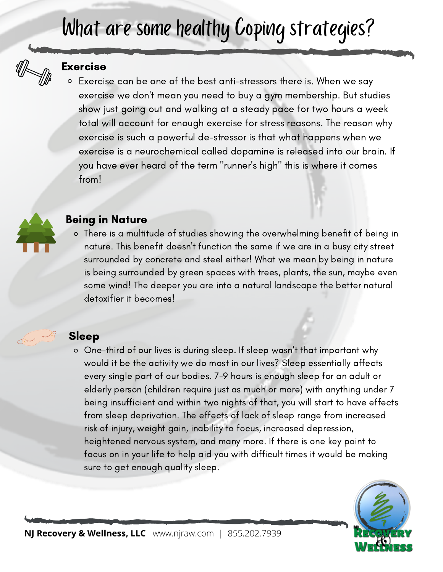### What are some healthy Coping strategies?



#### Exercise

Exercise can be one of the best anti-stressors there is. When we say exercise we don't mean you need to buy a gym membership. But studies show just going out and walking at a steady pace for two hours a week total will account for enough exercise for stress reasons. The reason why exercise is such a powerful de-stressor is that what happens when we exercise is a neurochemical called dopamine is released into our brain. If you have ever heard of the term "runner's high" this is where it comes from!



#### Being in Nature

There is a multitude of studies showing the overwhelming benefit of being in nature. This benefit doesn't function the same if we are in a busy city street surrounded by concrete and steel either! What we mean by being in nature is being surrounded by green spaces with trees, plants, the sun, maybe even some wind! The deeper you are into a natural landscape the better natural detoxifier it becomes!

#### Sleep

One-third of our lives is during sleep. If sleep wasn't that important why would it be the activity we do most in our lives? Sleep essentially affects every single part of our bodies. 7-9 hours is enough sleep for an adult or elderly person (children require just as much or more) with anything under 7 being insufficient and within two nights of that, you will start to have effects from sleep deprivation. The effects of lack of sleep range from increased risk of injury, weight gain, inability to focus, increased depression, heightened nervous system, and many more. If there is one key point to focus on in your life to help aid you with difficult times it would be making sure to get enough quality sleep.